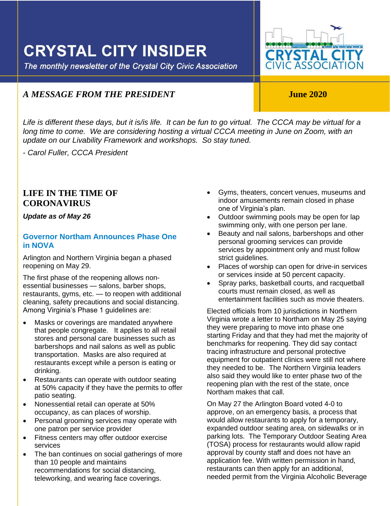## **CRYSTAL CITY INSIDER**

The monthly newsletter of the Crystal City Civic Association

# **CRYSTAL CITY**<br>CIVIC ASSOCIATION

### *A MESSAGE FROM THE PRESIDENT* **June 2020**

Life is different these days, but it is/is life. It can be fun to go virtual. The CCCA may be virtual for a long time to come. We are considering hosting a virtual CCCA meeting in June on Zoom, with an *update on our Livability Framework and workshops. So stay tuned.*

- *Carol Fuller, CCCA President*

#### **LIFE IN THE TIME OF CORONAVIRUS**

#### *Update as of May 26*

#### **Governor Northam Announces Phase One in NOVA**

Arlington and Northern Virginia began a phased reopening on May 29.

The first phase of the reopening allows nonessential businesses — salons, barber shops, restaurants, gyms, etc. — to reopen with additional cleaning, safety precautions and social distancing. Among Virginia's Phase 1 guidelines are:

- Masks or coverings are mandated anywhere that people congregate. It applies to all retail stores and personal care businesses such as barbershops and nail salons as well as public transportation. Masks are also required at restaurants except while a person is eating or drinking.
- Restaurants can operate with outdoor seating at 50% capacity if they have the permits to offer patio seating.
- Nonessential retail can operate at 50% occupancy, as can places of worship.
- Personal grooming services may operate with one patron per service provider
- Fitness centers may offer outdoor exercise services
- The ban continues on social gatherings of more than 10 people and maintains recommendations for social distancing, teleworking, and wearing face coverings.

• Gyms, theaters, concert venues, museums and indoor amusements remain closed in phase one of Virginia's plan.

ļ

- Outdoor swimming pools may be open for lap swimming only, with one person per lane.
- Beauty and nail salons, barbershops and other personal grooming services can provide services by appointment only and must follow strict quidelines.
- Places of worship can open for drive-in services or services inside at 50 percent capacity.
- Spray parks, basketball courts, and racquetball courts must remain closed, as well as entertainment facilities such as movie theaters.

Elected officials from 10 jurisdictions in Northern Virginia wrote a letter to Northam on May 25 saying they were preparing to move into phase one starting Friday and that they had met the majority of benchmarks for reopening. They did say contact tracing infrastructure and personal protective equipment for outpatient clinics were still not where they needed to be. The Northern Virginia leaders also said they would like to enter phase two of the reopening plan with the rest of the state, once Northam makes that call.

On May 27 the Arlington Board voted 4-0 to approve, on an emergency basis, a process that would allow restaurants to apply for a temporary, expanded outdoor seating area, on sidewalks or in parking lots. The Temporary Outdoor Seating Area (TOSA) process for restaurants would allow rapid approval by county staff and does not have an application fee. With written permission in hand, restaurants can then apply for an additional, needed permit from the Virginia Alcoholic Beverage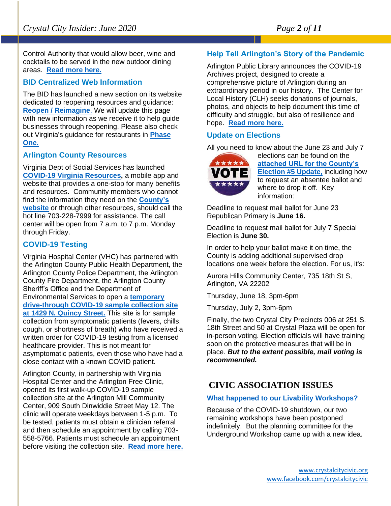Control Authority that would allow beer, wine and cocktails to be served in the new outdoor dining areas. **[Read more here.](https://newsroom.arlingtonva.us/release/arlington-to-enter-phase-1-of-reopening/)**

#### **BID Centralized Web Information**

The BID has launched a new section on its website dedicated to reopening resources and guidance: **[Reopen / Reimagine](http://sg.geomailer.net/ls/click?upn=tUK3CRA-2BP0-2BFdbnKYPUvBNJ7NQbEi-2F9mI9Yp7BVyxAXgxvXs4KxoVz9oRd1JeKJ8v9sLQkH3Q9glCXhjUMjbkQ-3D-3D4fM6_SleTuARTnSwVc-2BETurumEm8EXYw3-2FJmTT5XKTZ8Tjjwb-2BFfoj7zNrgj25yh0T-2BHRdd2YIvkJ-2B0Vqvap5NlLDcJ9UPvyL7R5ltevaVtvIUxw2VHuf1rUURnJ2BdLaYYZMdmVhu5wuNhDX7A8J3Rhz6tIHnk9U28A-2FMMGSLQf0-2BabWj2FDXNOzvvjjtZHhmInzFGePSN5pTzvzsDVYnp6oX6rr8qcvfvWt0ur80-2FtgOPXhr3loXg82H7TSlKmUw0XJ0o4QispxwbWIBNhzOw67kg-3D-3D)**. We will update this page with new information as we receive it to help guide businesses through reopening. Please also check out Virginia's guidance for restaurants in **[Phase](http://sg.geomailer.net/ls/click?upn=0Fisvop7FR97W-2FhnqVhPTbAjYUMpUKAwuhIQPwSYkUUcXyrrxx7739Rb5c9bZMhEF5X7Fxx6CVQPierQQlRxwvEvlYG9yk4MLBPUFMxLt20QLAtAlvEEKYNahaEBnXVDGTTO92odElAVkgr8xA6XtB2LPCg9iPG59ukaj5QRoToGGB576PTK4xek9HRJP5JvuAFZ4-2FevyAgL3WJesMNkuDTAqV8v281I0GXpMUT3kd599EMRwkD3bkiSNpyN2UF45ZF2CVSTBWWzVFMh7Sfgj2JOH3NhUrC2GoK-2FYFkXDzdgmvf04aEU-2BcO-2F9eZpXVoqiY9CVywRcrS7weH0pxCbnzAaoHSz94I0cEwIdZp0rHFpODjnKtcWOi0qRJdeutaPL5i-2BIq5j-2FIn4wolPGUAZcdrkgGb-2BCCRxJLm-2BO6xlNQ4sSCAaknirABDF2taPhQN-2F3FQTypvUbfnG1jiCz7MxYHXYGyrCWdcGT-2Ba5nWmUnBl4lP4UwKdy6NDcJYxqGaEKrqhMhOnjXbl64cj-2FzH2515DMvDcOcQ4Zez2dN2GlI7MzCcvPr9feiQD01vRaBoCabzp87VYRTGdWxSl5yMv6WF50fE43pHLMT7k4f1ab4gMO2OwWOnLZPJgVcL629MXYgWfpdxrg5mwoVkC-2B4xjP2dr3sGL2h-2FpijJ8ZQ3wq-2Fk6lPoZNRGK2681E4sLH8qkAGcMa7GL-2FAoyEMJRtEu4RMA-3D-3Dy1YD_SleTuARTnSwVc-2BETurumEm8EXYw3-2FJmTT5XKTZ8Tjjwb-2BFfoj7zNrgj25yh0T-2BHRdd2YIvkJ-2B0Vqvap5NlLDcJ9UPvyL7R5ltevaVtvIUxw2VHuf1rUURnJ2BdLaYYZMdmVhu5wuNhDX7A8J3Rhz6g3tMXvzG5Y4-2FHQlLflnSHfgfArgGr5qlEeylI-2FCj-2BV6HTXKGhOfACW4hgL0DoDVWBk3eMEGrzEJRgTdViKtvd7NjMRsPyvyxaUILSaZ3roB36EVWnsZdqGj0kQwnzmbng-3D-3D)  [One.](http://sg.geomailer.net/ls/click?upn=0Fisvop7FR97W-2FhnqVhPTbAjYUMpUKAwuhIQPwSYkUUcXyrrxx7739Rb5c9bZMhEF5X7Fxx6CVQPierQQlRxwvEvlYG9yk4MLBPUFMxLt20QLAtAlvEEKYNahaEBnXVDGTTO92odElAVkgr8xA6XtB2LPCg9iPG59ukaj5QRoToGGB576PTK4xek9HRJP5JvuAFZ4-2FevyAgL3WJesMNkuDTAqV8v281I0GXpMUT3kd599EMRwkD3bkiSNpyN2UF45ZF2CVSTBWWzVFMh7Sfgj2JOH3NhUrC2GoK-2FYFkXDzdgmvf04aEU-2BcO-2F9eZpXVoqiY9CVywRcrS7weH0pxCbnzAaoHSz94I0cEwIdZp0rHFpODjnKtcWOi0qRJdeutaPL5i-2BIq5j-2FIn4wolPGUAZcdrkgGb-2BCCRxJLm-2BO6xlNQ4sSCAaknirABDF2taPhQN-2F3FQTypvUbfnG1jiCz7MxYHXYGyrCWdcGT-2Ba5nWmUnBl4lP4UwKdy6NDcJYxqGaEKrqhMhOnjXbl64cj-2FzH2515DMvDcOcQ4Zez2dN2GlI7MzCcvPr9feiQD01vRaBoCabzp87VYRTGdWxSl5yMv6WF50fE43pHLMT7k4f1ab4gMO2OwWOnLZPJgVcL629MXYgWfpdxrg5mwoVkC-2B4xjP2dr3sGL2h-2FpijJ8ZQ3wq-2Fk6lPoZNRGK2681E4sLH8qkAGcMa7GL-2FAoyEMJRtEu4RMA-3D-3Dy1YD_SleTuARTnSwVc-2BETurumEm8EXYw3-2FJmTT5XKTZ8Tjjwb-2BFfoj7zNrgj25yh0T-2BHRdd2YIvkJ-2B0Vqvap5NlLDcJ9UPvyL7R5ltevaVtvIUxw2VHuf1rUURnJ2BdLaYYZMdmVhu5wuNhDX7A8J3Rhz6g3tMXvzG5Y4-2FHQlLflnSHfgfArgGr5qlEeylI-2FCj-2BV6HTXKGhOfACW4hgL0DoDVWBk3eMEGrzEJRgTdViKtvd7NjMRsPyvyxaUILSaZ3roB36EVWnsZdqGj0kQwnzmbng-3D-3D)**

#### **Arlington County Resources**

Virginia Dept of Social Services has launched **[COVID-19 Virginia Resources,](https://lnks.gd/l/eyJhbGciOiJIUzI1NiJ9.eyJidWxsZXRpbl9saW5rX2lkIjoxMTUsInVyaSI6ImJwMjpjbGljayIsImJ1bGxldGluX2lkIjoiMjAyMDA0MzAuMjA4OTIxNTEiLCJ1cmwiOiJodHRwczovL2NvdmlkLnZpcmdpbmlhLmdvdi8ifQ.fhgfPVfnP0jBKd_FajooM_KYbHrOyi8TUtK-vbadqaw/br/78092960257-l)** a mobile app and website that provides a one-stop for many benefits and resources. Community members who cannot find the information they need on the **[County's](https://nam03.safelinks.protection.outlook.com/?url=https%3A%2F%2Flnks.gd%2Fl%2FeyJhbGciOiJIUzI1NiJ9.eyJidWxsZXRpbl9saW5rX2lkIjoxMDAsInVyaSI6ImJwMjpjbGljayIsImJ1bGxldGluX2lkIjoiMjAyMDAzMTguMTg5NTg1NzEiLCJ1cmwiOiJodHRwczovL2hlYWx0aC5hcmxpbmd0b252YS51cy9jb3ZpZC0xOS1jb3JvbmF2aXJ1cy11cGRhdGVzLyJ9.xWMkU5Mro5Dy59Ew-3ypoAP9rw67Ff4rgnG3Co5qkQk%2Fbr%2F76315552537-l&data=02%7C01%7Cttucker%40arlingtonva.us%7Cd520ba11c6c14b1ba46608d7cc0edd6b%7C803548041fdf428e9f5f5091e994cf54%7C0%7C0%7C637202236530360393&sdata=dpBGblCBQudUejnw1K%2Fc5BYKtFWb1Wi58FIvd2s%2Bcjs%3D&reserved=0)  [website](https://nam03.safelinks.protection.outlook.com/?url=https%3A%2F%2Flnks.gd%2Fl%2FeyJhbGciOiJIUzI1NiJ9.eyJidWxsZXRpbl9saW5rX2lkIjoxMDAsInVyaSI6ImJwMjpjbGljayIsImJ1bGxldGluX2lkIjoiMjAyMDAzMTguMTg5NTg1NzEiLCJ1cmwiOiJodHRwczovL2hlYWx0aC5hcmxpbmd0b252YS51cy9jb3ZpZC0xOS1jb3JvbmF2aXJ1cy11cGRhdGVzLyJ9.xWMkU5Mro5Dy59Ew-3ypoAP9rw67Ff4rgnG3Co5qkQk%2Fbr%2F76315552537-l&data=02%7C01%7Cttucker%40arlingtonva.us%7Cd520ba11c6c14b1ba46608d7cc0edd6b%7C803548041fdf428e9f5f5091e994cf54%7C0%7C0%7C637202236530360393&sdata=dpBGblCBQudUejnw1K%2Fc5BYKtFWb1Wi58FIvd2s%2Bcjs%3D&reserved=0)** or through other resources, should call the hot line 703-228-7999 for assistance. The call center will be open from 7 a.m. to 7 p.m. Monday through Friday.

#### **COVID-19 Testing**

Virginia Hospital Center (VHC) has partnered with the Arlington County Public Health Department, the Arlington County Police Department, the Arlington County Fire Department, the Arlington County Sheriff's Office and the Department of Environmental Services to open a **[temporary](https://www.virginiahospitalcenter.com/)  [drive-through COVID-19 sample collection site](https://www.virginiahospitalcenter.com/)  [at 1429 N. Quincy Street.](https://www.virginiahospitalcenter.com/)** This site is for sample collection from symptomatic patients (fevers, chills, cough, or shortness of breath) who have received a written order for COVID-19 testing from a licensed healthcare provider. This is not meant for asymptomatic patients, even those who have had a close contact with a known COVID patient.

Arlington County, in partnership with Virginia Hospital Center and the Arlington Free Clinic, opened its first walk-up COVID-19 sample collection site at the Arlington Mill Community Center, 909 South Dinwiddie Street May 12. The clinic will operate weekdays between 1-5 p.m. To be tested, patients must obtain a clinician referral and then schedule an appointment by calling 703- 558-5766. Patients must schedule an appointment before visiting the collection site. **[Read more here.](https://newsroom.arlingtonva.us/release/arlington-opens-first-walk-up-covid-19-sample-collection-site/)**

#### **Help Tell Arlington's Story of the Pandemic**

Arlington Public Library announces the COVID-19 Archives project, designed to create a comprehensive picture of Arlington during an extraordinary period in our history. The Center for Local History (CLH) seeks donations of journals, photos, and objects to help document this time of difficulty and struggle, but also of resilience and hope. **[Read more here.](https://newsroom.arlingtonva.us/release/covid19-archives-project-library/)**

#### **Update on Elections**

All you need to know about the June 23 and July 7



elections can be found on the **[attached URL for the County's](https://content.govdelivery.com/accounts/VAARLINGTON/bulletins/28e1dc5)  [Election #5 Update,](https://content.govdelivery.com/accounts/VAARLINGTON/bulletins/28e1dc5)** including how to request an absentee ballot and where to drop it off. Key information:

Deadline to request mail ballot for June 23 Republican Primary is **June 16.**

Deadline to request mail ballot for July 7 Special Election is **June 30.**

In order to help your ballot make it on time, the County is adding additional supervised drop locations one week before the election. For us, it's:

Aurora Hills Community Center, 735 18th St S, Arlington, VA 22202

Thursday, June 18, 3pm-6pm

Thursday, July 2, 3pm-6pm

Finally, the two Crystal City Precincts 006 at 251 S. 18th Street and 50 at Crystal Plaza will be open for in-person voting. Election officials will have training soon on the protective measures that will be in place. *But to the extent possible, mail voting is recommended.*

#### **CIVIC ASSOCIATION ISSUES**

#### **What happened to our Livability Workshops?**

Because of the COVID-19 shutdown, our two remaining workshops have been postponed indefinitely. But the planning committee for the Underground Workshop came up with a new idea.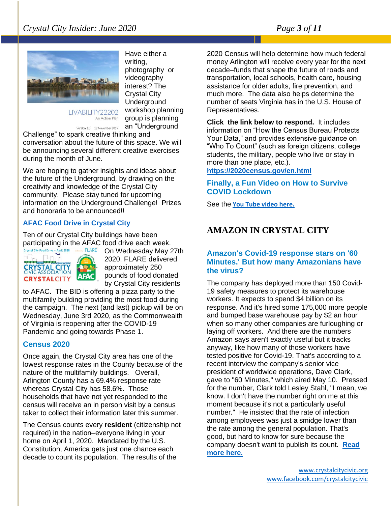#### *Crystal City Insider: June 2020 Page 3 of 11*



Have either a writing, photography or videography interest? The Crystal City **Underground** workshop planning group is planning an "Underground

LIVABILITY22202 An Action Plan

Version 1.0 12 November 2019

Challenge" to spark creative thinking and conversation about the future of this space. We will be announcing several different creative exercises during the month of June.

We are hoping to gather insights and ideas about the future of the Underground, by drawing on the creativity and knowledge of the Crystal City community. Please stay tuned for upcoming information on the Underground Challenge! Prizes and honoraria to be announced!!

#### **AFAC Food Drive in Crystal City**

Ten of our Crystal City buildings have been participating in the AFAC food drive each week.<br> **Crystal City Food Drive - April 2020** 



On Wednesday May 27th 2020, FLARE delivered approximately 250 pounds of food donated by Crystal City residents

to AFAC. The BID is offering a pizza party to the multifamily building providing the most food during the campaign. The next (and last) pickup will be on Wednesday, June 3rd 2020, as the Commonwealth of Virginia is reopening after the COVID-19 Pandemic and going towards Phase 1.

#### **Census 2020**

Once again, the Crystal City area has one of the lowest response rates in the County because of the nature of the multifamily buildings. Overall, Arlington County has a 69.4% response rate whereas Crystal City has 58.6%. Those households that have not yet responded to the census will receive an in person visit by a census taker to collect their information later this summer.

The Census counts every **resident** (citizenship not required) in the nation–everyone living in your home on April 1, 2020. Mandated by the U.S. Constitution, America gets just one chance each decade to count its population. The results of the

2020 Census will help determine how much federal money Arlington will receive every year for the next decade–funds that shape the future of roads and transportation, local schools, health care, housing assistance for older adults, fire prevention, and much more. The data also helps determine the number of seats Virginia has in the U.S. House of Representatives.

**Click the link below to respond.** It includes information on "How the Census Bureau Protects Your Data," and provides extensive guidance on "Who To Count" (such as foreign citizens, college students, the military, people who live or stay in more than one place, etc.).

**<https://2020census.gov/en.html>**

#### **Finally, a Fun Video on How to Survive COVID Lockdown**

See the **[You Tube video here.](https://www.youtube.com/watch?v=snAhsXyO3Ck&feature=share&fbclid=IwAR3-PbYCiJyoi7T_N0x3v1ALuPmyj5VgTYPHZVvna8OxFSl-_aeKvrcxtMY)**

#### **AMAZON IN CRYSTAL CITY**

#### **Amazon's Covid-19 response stars on '60 Minutes.' But how many Amazonians have the virus?**

The company has deployed more than 150 Covid-19 safety measures to protect its warehouse workers. It expects to spend \$4 billion on its response. And it's hired some 175,000 more people and bumped base warehouse pay by \$2 an hour when so many other companies are furloughing or laying off workers. And there are the numbers Amazon says aren't exactly useful but it tracks anyway, like how many of those workers have tested positive for Covid-19. That's according to a recent interview the company's senior vice president of worldwide operations, Dave Clark, gave to "60 Minutes," which aired May 10. Pressed for the number, Clark told Lesley Stahl, "I mean, we know. I don't have the number right on me at this moment because it's not a particularly useful number." He insisted that the rate of infection among employees was just a smidge lower than the rate among the general population. That's good, but hard to know for sure because the company doesn't want to publish its count. **[Read](https://www.bizjournals.com/washington/news/2020/05/12/how-many-amazon-workers-have-covid-19-a-warehouse.html?ana=e_me_set4&j=90508347&t=Morning&mkt_tok=eyJpIjoiTjJGa1l6SmtORFU1WlRZNSIsInQiOiJZN3hLQ3lIS2RQSGEycXpkKzFtN1d6UlwvR0F1T3ZGQ1NNcEtBUDRFUGZzK3U0TGRwN3poNzZpenNvSDVBWjF2N29BT0RTdmVLa2hLOUhYcXBcL2pJK3RyYUk3b2JFTFF6OXhDR2JPRWVKRXUxdm5GdjRjWmFEcXBvYXZHMWdiRDFYIn0%3D)  [more here.](https://www.bizjournals.com/washington/news/2020/05/12/how-many-amazon-workers-have-covid-19-a-warehouse.html?ana=e_me_set4&j=90508347&t=Morning&mkt_tok=eyJpIjoiTjJGa1l6SmtORFU1WlRZNSIsInQiOiJZN3hLQ3lIS2RQSGEycXpkKzFtN1d6UlwvR0F1T3ZGQ1NNcEtBUDRFUGZzK3U0TGRwN3poNzZpenNvSDVBWjF2N29BT0RTdmVLa2hLOUhYcXBcL2pJK3RyYUk3b2JFTFF6OXhDR2JPRWVKRXUxdm5GdjRjWmFEcXBvYXZHMWdiRDFYIn0%3D)**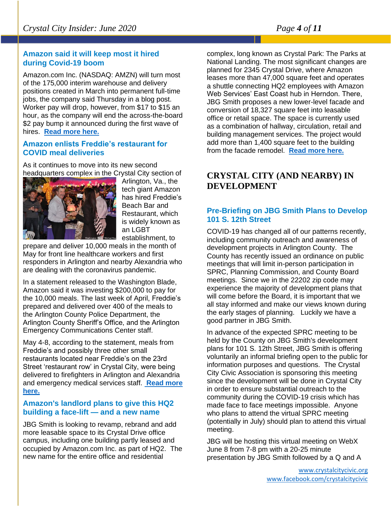#### **Amazon said it will keep most it hired during Covid-19 boom**

Amazon.com Inc. (NASDAQ: AMZN) will turn most of the 175,000 interim warehouse and delivery positions created in March into permanent full-time jobs, the company said Thursday in a blog post. Worker pay will drop, however, from \$17 to \$15 an hour, as the company will end the across-the-board \$2 pay bump it announced during the first wave of hires. **[Read more here.](https://www.bizjournals.com/washington/news/2020/05/28/amazon-to-make-most-covid-19-hiring-boom-perminate.html?ana=e_ae_set4&j=90511136&t=Afternoon&mkt_tok=eyJpIjoiT1dNNFpEazFNMlZsT0RobCIsInQiOiJ4cUVIS2NsYkQ0STlOZGRNdVFwYkRQRjBySGo3elQ2UFFEWTY4eEQwVm1KNjQwUjlnMkoydjBzSWdIVm1sam9xNEdjNFd4Rnd5YTdiREd4aW8xaFk5TWNsVXhrZTgxSzA4aWZEcDFaTGd4ZzMyMGplMWZcL2JvQVQwdElFRWVTQ28ifQ%3D%3D)**

#### **Amazon enlists Freddie's restaurant for COVID meal deliveries**

As it continues to move into its new second headquarters complex in the Crystal City section of



Arlington, Va., the tech giant Amazon has hired Freddie's Beach Bar and Restaurant, which is widely known as an LGBT establishment, to

prepare and deliver 10,000 meals in the month of May for front line healthcare workers and first responders in Arlington and nearby Alexandria who are dealing with the coronavirus pandemic.

In a statement released to the Washington Blade, Amazon said it was investing \$200,000 to pay for the 10,000 meals. The last week of April, Freddie's prepared and delivered over 400 of the meals to the Arlington County Police Department, the Arlington County Sheriff's Office, and the Arlington Emergency Communications Center staff.

May 4-8, according to the statement, meals from Freddie's and possibly three other small restaurants located near Freddie's on the 23rd Street 'restaurant row' in Crystal City, were being delivered to firefighters in Arlington and Alexandria and emergency medical services staff. **[Read more](https://www.washingtonblade.com/2020/05/06/amazon-enlists-freddies-restaurant-for-covid-meal-deliveries/?fbclid=IwAR1Vqb0Ud9LCVQYIcsUmiPbMtdWRbxZ2CgemtWmMvpJxE0m2Wdn54kMX6h0)  [here.](https://www.washingtonblade.com/2020/05/06/amazon-enlists-freddies-restaurant-for-covid-meal-deliveries/?fbclid=IwAR1Vqb0Ud9LCVQYIcsUmiPbMtdWRbxZ2CgemtWmMvpJxE0m2Wdn54kMX6h0)**

#### **Amazon's landlord plans to give this HQ2 building a face-lift — and a new name**

JBG Smith is looking to revamp, rebrand and add more leasable space to its Crystal Drive office campus, including one building partly leased and occupied by Amazon.com Inc. as part of HQ2. The new name for the entire office and residential

complex, long known as Crystal Park: The Parks at National Landing. The most significant changes are planned for 2345 Crystal Drive, where Amazon leases more than 47,000 square feet and operates a shuttle connecting HQ2 employees with Amazon Web Services' East Coast hub in Herndon. There, JBG Smith proposes a new lower-level facade and conversion of 18,327 square feet into leasable office or retail space. The space is currently used as a combination of hallway, circulation, retail and building management services. The project would add more than 1,400 square feet to the building from the facade remodel. **[Read more here.](https://www.bizjournals.com/washington/news/2020/05/22/jbg-smith-to-remain-amazons-firs-hq2-building.html?ana=e_ae_set1&j=90510193&t=Afternoon&mkt_tok=eyJpIjoiTlRVME1HUTROR1ZqTmpKbCIsInQiOiJpT2Rwajk4VUhHeDR0VURERHdHUWhIbEpDd2w2S0hYbmg4d0J5aVlpMnM4ajdjZFhMZUU0dWdYZVNSRkFoY1RUZDlxcmRVY24wQ1JLckM4QWVRRkVBc2xDdFdnamRyWnFlWGdORzZ4N1RKdkZiMkNrV0FvY3RvczBXb3dJY09WZyJ9)**

## **CRYSTAL CITY (AND NEARBY) IN DEVELOPMENT**

#### **Pre-Briefing on JBG Smith Plans to Develop 101 S. 12th Street**

COVID-19 has changed all of our patterns recently, including community outreach and awareness of development projects in Arlington County. The County has recently issued an ordinance on public meetings that will limit in-person participation in SPRC, Planning Commission, and County Board meetings. Since we in the 22202 zip code may experience the majority of development plans that will come before the Board, it is important that we all stay informed and make our views known during the early stages of planning. Luckily we have a good partner in JBG Smith.

In advance of the expected SPRC meeting to be held by the County on JBG Smith's development plans for 101 S. 12th Street, JBG Smith is offering voluntarily an informal briefing open to the public for information purposes and questions. The Crystal City Civic Association is sponsoring this meeting since the development will be done in Crystal City in order to ensure substantial outreach to the community during the COVID-19 crisis which has made face to face meetings impossible. Anyone who plans to attend the virtual SPRC meeting (potentially in July) should plan to attend this virtual meeting.

JBG will be hosting this virtual meeting on WebX June 8 from 7-8 pm with a 20-25 minute presentation by JBG Smith followed by a Q and A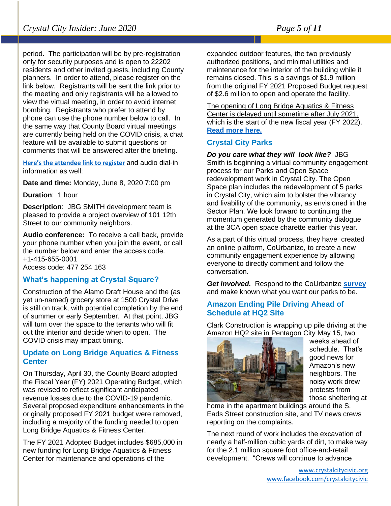period. The participation will be by pre-registration only for security purposes and is open to 22202 residents and other invited guests, including County planners. In order to attend, please register on the link below. Registrants will be sent the link prior to the meeting and only registrants will be allowed to view the virtual meeting, in order to avoid internet bombing. Registrants who prefer to attend by phone can use the phone number below to call. In the same way that County Board virtual meetings are currently being held on the COVID crisis, a chat feature will be available to submit questions or comments that will be answered after the briefing.

**[Here's the attendee link to register](https://jbgsmith.webex.com/jbgsmith/onstage/g.php?MTID=e2d8ca95c30e3b15920bb8610ec933a40)** and audio dial-in information as well:

**Date and time:** Monday, June 8, 2020 7:00 pm

**Duration**: 1 hour

**Description**: JBG SMITH development team is pleased to provide a project overview of 101 12th Street to our community neighbors.

**Audio conference:** To receive a call back, provide your phone number when you join the event, or call the number below and enter the access code. +1-415-655-0001 Access code: 477 254 163

#### **What's happening at Crystal Square?**

Construction of the Alamo Draft House and the (as yet un-named) grocery store at 1500 Crystal Drive is still on track, with potential completion by the end of summer or early September. At that point, JBG will turn over the space to the tenants who will fit out the interior and decide when to open. The COVID crisis may impact timing.

#### **Update on Long Bridge Aquatics & Fitness Center**

On Thursday, April 30, the County Board adopted the Fiscal Year (FY) 2021 Operating Budget, which was revised to reflect significant anticipated revenue losses due to the COVID-19 pandemic. Several proposed expenditure enhancements in the originally proposed FY 2021 budget were removed, including a majority of the funding needed to open Long Bridge Aquatics & Fitness Center.

The FY 2021 Adopted Budget includes \$685,000 in new funding for Long Bridge Aquatics & Fitness Center for maintenance and operations of the

expanded outdoor features, the two previously authorized positions, and minimal utilities and maintenance for the interior of the building while it remains closed. This is a savings of \$1.9 million from the original FY 2021 Proposed Budget request of \$2.6 million to open and operate the facility.

The opening of Long Bridge Aquatics & Fitness Center is delayed until sometime after July 2021, which is the start of the new fiscal year (FY 2022). **[Read more here.](https://content.govdelivery.com/accounts/VAARLINGTON/bulletins/28ca4f2)**

#### **Crystal City Parks**

*Do you care what they will look like?* JBG Smith is beginning a virtual community engagement process for our Parks and Open Space redevelopment work in Crystal City. The Open Space plan includes the redevelopment of 5 parks in Crystal City, which aim to bolster the vibrancy and livability of the community, as envisioned in the Sector Plan. We look forward to continuing the momentum generated by the community dialogue at the 3CA open space charette earlier this year.

As a part of this virtual process, they have created an online platform, CoUrbanize, to create a new community engagement experience by allowing everyone to directly comment and follow the conversation.

*Get involved.* Respond to the CoUrbanize **[survey](http://courb.co/ccparks)** and make known what you want our parks to be.

#### **Amazon Ending Pile Driving Ahead of Schedule at HQ2 Site**

Clark Construction is wrapping up pile driving at the Amazon HQ2 site in Pentagon City May 15, two



weeks ahead of schedule. That's good news for Amazon's new neighbors. The noisy work drew protests from those sheltering at

home in the apartment buildings around the S. Eads Street construction site, and TV news crews reporting on the complaints.

The next round of work includes the excavation of nearly a half-million cubic yards of dirt, to make way for the 2.1 million square foot office-and-retail development. "Crews will continue to advance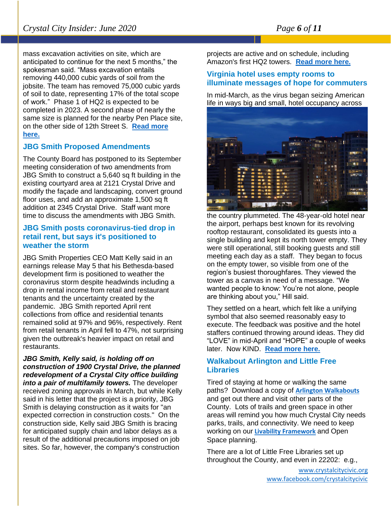mass excavation activities on site, which are anticipated to continue for the next 5 months," the spokesman said. "Mass excavation entails removing 440,000 cubic yards of soil from the jobsite. The team has removed 75,000 cubic yards of soil to date, representing 17% of the total scope of work." Phase 1 of HQ2 is expected to be completed in 2023. A second phase of nearly the same size is planned for the nearby Pen Place site, on the other side of 12th Street S. **[Read more](https://www.arlnow.com/2020/05/15/amazon-ending-pile-driving-ahead-of-schedule-at-hq2-site/?mc_cid=4d7b17218f&mc_eid=e22d65c5c2)  [here.](https://www.arlnow.com/2020/05/15/amazon-ending-pile-driving-ahead-of-schedule-at-hq2-site/?mc_cid=4d7b17218f&mc_eid=e22d65c5c2)**

#### **JBG Smith Proposed Amendments**

The County Board has postponed to its September meeting consideration of two amendments from JBG Smith to construct a 5,640 sq ft building in the existing courtyard area at 2121 Crystal Drive and modify the façade and landscaping, convert ground floor uses, and add an approximate 1,500 sq ft addition at 2345 Crystal Drive. Staff want more time to discuss the amendments with JBG Smith.

#### **JBG Smith posts coronavirus-tied drop in retail rent, but says it's positioned to weather the storm**

JBG Smith Properties CEO Matt Kelly said in an earnings release May 5 that his Bethesda-based development firm is positioned to weather the coronavirus storm despite headwinds including a drop in rental income from retail and restaurant tenants and the uncertainty created by the pandemic. JBG Smith reported April rent collections from office and residential tenants remained solid at 97% and 96%, respectively. Rent from retail tenants in April fell to 47%, not surprising given the outbreak's heavier impact on retail and restaurants.

*JBG Smith, Kelly said, is holding off on construction of 1900 Crystal Drive, the planned redevelopment of a Crystal City office building into a pair of multifamily towers.* The developer received zoning approvals in March, but while Kelly said in his letter that the project is a priority, JBG Smith is delaying construction as it waits for "an expected correction in construction costs." On the construction side, Kelly said JBG Smith is bracing for anticipated supply chain and labor delays as a result of the additional precautions imposed on job sites. So far, however, the company's construction

projects are active and on schedule, including Amazon's first HQ2 towers. **Read [more here.](https://www.bizjournals.com/washington/news/2020/05/05/jbg-smith-posts-coronavirus-tied-drop-in-retail.html?ana=e_me_set1&j=90507088&t=Morning&mkt_tok=eyJpIjoiTkdNMFlUazJZamswT1dNMSIsInQiOiJNTDc4TU1FcjBIMDJRRVwvZG1uK2hcL1UwSkhQMGtaNTllSTBxKzFNSWJmc2FrVTZyZjBMM0hKWHpSak1ma0JFVEF1MFJiSWlNeGx5NGpEZlwvendwWmExWnVvTHNlR1ZmUGVNQ2IwbXRDMzdnS3ppdmsxbkp6blpTa3NzQms4YVI0MyJ9)**

#### **Virginia hotel uses empty rooms to illuminate messages of hope for commuters**

In mid-March, as the virus began seizing American life in ways big and small, hotel occupancy across



the country plummeted. The 48-year-old hotel near the airport, perhaps best known for its revolving rooftop restaurant, consolidated its guests into a single building and kept its north tower empty. They were still operational, still booking guests and still meeting each day as a staff. They began to focus on the empty tower, so visible from one of the region's busiest thoroughfares. They viewed the tower as a canvas in need of a message. "We wanted people to know: You're not alone, people are thinking about you," Hill said.

They settled on a heart, which felt like a unifying symbol that also seemed reasonably easy to execute. The feedback was positive and the hotel staffers continued throwing around ideas. They did "LOVE" in mid-April and "HOPE" a couple of weeks later. Now KIND. **[Read more here.](https://www.washingtonpost.com/dc-md-va/2020/05/22/virginia-hotel-uses-empty-rooms-illuminate-messages-hope-commuters/?carta-url=https%3A%2F%2Fs2.washingtonpost.com%2Fcar-ln-tr%2F2968f39%2F5ec7aadcfe1ff654c2e3998a%2F596a5ce49bbc0f0e09eaa737%2F41%2F59%2F25d20cd190eff6158887eb38626862fb&utm_campaign=wp_local_headlines&utm_medium=email&utm_source=newsletter&wpisrc=nl_lclheads)**

#### **Walkabout Arlington and Little Free Libraries**

Tired of staying at home or walking the same paths? Download a copy of **[Arlington Walkabouts](http://www.walkarlington.com/wp-content/uploads/2017/01/Walk_Brochure2015-09.pdf)** and get out there and visit other parts of the County. Lots of trails and green space in other areas will remind you how much Crystal City needs parks, trails, and connectivity. We need to keep working on our **[Livability Framework](http://livability22202.org/)** and Open Space planning.

There are a lot of Little Free Libraries set up throughout the County, and even in 22202: e.g.,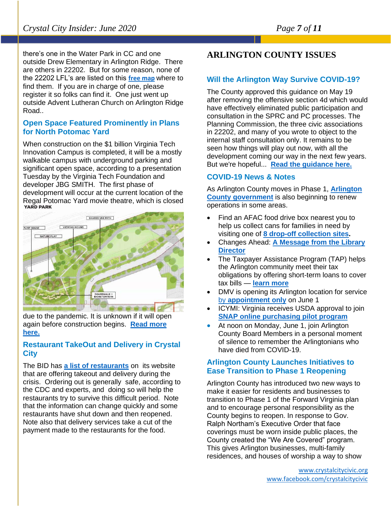there's one in the Water Park in CC and one outside Drew Elementary in Arlington Ridge. There are others in 22202. But for some reason, none of the 22202 LFL's are listed on this **[free map](https://littlefreelibrary.org/ourmap/?fbclid=IwAR03fIx3A7J-FeBhIOW4ZGIV_A1S-rHczBfKSD2ue2XB1N_8Af1ka6PSweU)** where to find them. If you are in charge of one, please register it so folks can find it. One just went up outside Advent Lutheran Church on Arlington Ridge Road..

#### **Open Space Featured Prominently in Plans for North Potomac Yard**

When construction on the \$1 billion Virginia Tech Innovation Campus is completed, it will be a mostly walkable campus with underground parking and significant open space, according to a presentation Tuesday by the Virginia Tech Foundation and developer JBG SMITH. The first phase of development will occur at the current location of the Regal Potomac Yard movie theatre, which is closed<br>YARD PARK



due to the pandemic. It is unknown if it will open again before construction begins. **[Read more](https://www.alxnow.com/2020/05/20/north-potomac-yard-open-space-plans-released/?mc_cid=faf4d75265&mc_eid=e22d65c5c2)  [here.](https://www.alxnow.com/2020/05/20/north-potomac-yard-open-space-plans-released/?mc_cid=faf4d75265&mc_eid=e22d65c5c2)**

#### **Restaurant TakeOut and Delivery in Crystal City**

The BID has **[a list of restaurants](https://www.crystalcity.org/delivery)** on its website that are offering takeout and delivery during the crisis. Ordering out is generally safe, according to the CDC and experts, and doing so will help the restaurants try to survive this difficult period. Note that the information can change quickly and some restaurants have shut down and then reopened. Note also that delivery services take a cut of the payment made to the restaurants for the food.

## **ARLINGTON COUNTY ISSUES**

#### **Will the Arlington Way Survive COVID-19?**

The County approved this guidance on May 19 after removing the offensive section 4d which would have effectively eliminated public participation and consultation in the SPRC and PC processes. The Planning Commission, the three civic associations in 22202, and many of you wrote to object to the internal staff consultation only. It remains to be seen how things will play out now, with all the development coming our way in the next few years. But we're hopeful... **[Read the guidance here.](https://newsroom.arlingtonva.us/release/county-provides-guidance-on-public-meetings-coronavirus-updates/)**

#### **COVID-19 News & Notes**

As Arlington County moves in Phase 1, **[Arlington](https://lnks.gd/l/eyJhbGciOiJIUzI1NiJ9.eyJidWxsZXRpbl9saW5rX2lkIjoxMTEsInVyaSI6ImJwMjpjbGljayIsImJ1bGxldGluX2lkIjoiMjAyMDA1MjkuMjIyMTU3NjEiLCJ1cmwiOiJodHRwczovL3d3dy5hcmxpbmd0b252YS51cy9jb3ZpZC0xOS9vcGVyYXRpb25hbC1zdGF0dXMvIn0.tnPNA81s21bbUK8nrNhG8Q_Ps1l-KSgqflMN_5aXwK0/br/79264749646-l)  [County government](https://lnks.gd/l/eyJhbGciOiJIUzI1NiJ9.eyJidWxsZXRpbl9saW5rX2lkIjoxMTEsInVyaSI6ImJwMjpjbGljayIsImJ1bGxldGluX2lkIjoiMjAyMDA1MjkuMjIyMTU3NjEiLCJ1cmwiOiJodHRwczovL3d3dy5hcmxpbmd0b252YS51cy9jb3ZpZC0xOS9vcGVyYXRpb25hbC1zdGF0dXMvIn0.tnPNA81s21bbUK8nrNhG8Q_Ps1l-KSgqflMN_5aXwK0/br/79264749646-l)** is also beginning to renew operations in some areas.

- Find an AFAC food drive box nearest you to help us collect cans for families in need by visiting one of **[8 drop-off collection sites.](https://lnks.gd/l/eyJhbGciOiJIUzI1NiJ9.eyJidWxsZXRpbl9saW5rX2lkIjoxMTIsInVyaSI6ImJwMjpjbGljayIsImJ1bGxldGluX2lkIjoiMjAyMDA1MjkuMjIyMTU3NjEiLCJ1cmwiOiJodHRwczovL2FmYWMub3JnL2Zvb2QtZG9uYXRpb24tZHJvcC1vZmZzLW1hcmNoLTIwMjAvIn0.3YhTRZMB1dvYXk7ENHBTHuOfZPl2NKlZL2uLDd_4MiU/br/79264749646-l)**
- Changes Ahead: **[A Message from the Library](https://lnks.gd/l/eyJhbGciOiJIUzI1NiJ9.eyJidWxsZXRpbl9saW5rX2lkIjoxMTMsInVyaSI6ImJwMjpjbGljayIsImJ1bGxldGluX2lkIjoiMjAyMDA1MjkuMjIyMTU3NjEiLCJ1cmwiOiJodHRwczovL2xpYnJhcnkuYXJsaW5ndG9udmEudXMvMjAyMC8wNS8yOS9jaGFuZ2VzLWFoZWFkLWEtbWVzc2FnZS1mcm9tLXRoZS1saWJyYXJ5LWRpcmVjdG9yLyJ9.nAJtah231GLpZHAdy2Ad6SWty4as7FnJojZCkJa3N8I/br/79264749646-l)  [Director](https://lnks.gd/l/eyJhbGciOiJIUzI1NiJ9.eyJidWxsZXRpbl9saW5rX2lkIjoxMTMsInVyaSI6ImJwMjpjbGljayIsImJ1bGxldGluX2lkIjoiMjAyMDA1MjkuMjIyMTU3NjEiLCJ1cmwiOiJodHRwczovL2xpYnJhcnkuYXJsaW5ndG9udmEudXMvMjAyMC8wNS8yOS9jaGFuZ2VzLWFoZWFkLWEtbWVzc2FnZS1mcm9tLXRoZS1saWJyYXJ5LWRpcmVjdG9yLyJ9.nAJtah231GLpZHAdy2Ad6SWty4as7FnJojZCkJa3N8I/br/79264749646-l)**
- The Taxpayer Assistance Program (TAP) helps the Arlington community meet their tax obligations by offering short-term loans to cover tax bills — **[learn more](https://lnks.gd/l/eyJhbGciOiJIUzI1NiJ9.eyJidWxsZXRpbl9saW5rX2lkIjoxMTQsInVyaSI6ImJwMjpjbGljayIsImJ1bGxldGluX2lkIjoiMjAyMDA1MjkuMjIyMTU3NjEiLCJ1cmwiOiJodHRwczovL3RheGVzLmFybGluZ3RvbnZhLnVzL3RhcC8ifQ.SqYPFl3-CPMT2V87LSSdBJGCwlxsiZX3aUkr_RUYkrY/br/79264749646-l)**
- DMV is opening its Arlington location for service by **[appointment only](https://lnks.gd/l/eyJhbGciOiJIUzI1NiJ9.eyJidWxsZXRpbl9saW5rX2lkIjoxMTUsInVyaSI6ImJwMjpjbGljayIsImJ1bGxldGluX2lkIjoiMjAyMDA1MjkuMjIyMTU3NjEiLCJ1cmwiOiJodHRwczovL3d3dy5kbXYudmlyZ2luaWEuZ292L2dlbmVyYWwvI2FwcG9pbnRtZW50cy5hc3AifQ.6R7siTFmjhFFJ8hti8rgu6rXrjkV3VQChxVK115Veys/br/79264749646-l)** on June 1
- ICYMI: Virginia receives USDA approval to join **[SNAP online purchasing pilot program](https://lnks.gd/l/eyJhbGciOiJIUzI1NiJ9.eyJidWxsZXRpbl9saW5rX2lkIjoxMTYsInVyaSI6ImJwMjpjbGljayIsImJ1bGxldGluX2lkIjoiMjAyMDA1MjkuMjIyMTU3NjEiLCJ1cmwiOiJodHRwczovL25hbTAzLnNhZmVsaW5rcy5wcm90ZWN0aW9uLm91dGxvb2suY29tLz91cmw9aHR0cHMlM0ElMkYlMkZsbmtzLmdkJTJGbCUyRmV5SmhiR2NpT2lKSVV6STFOaUo5LmV5SmlkV3hzWlhScGJsOXNhVzVyWDJsa0lqb3hNVE1zSW5WeWFTSTZJbUp3TWpwamJHbGpheUlzSW1KMWJHeGxkR2x1WDJsa0lqb2lNakF5TURBMU1qZ3VNakl4TlRZeU5qRWlMQ0oxY213aU9pSm9kSFJ3Y3pvdkwzZDNkeTVuYjNabGNtNXZjaTUyYVhKbmFXNXBZUzVuYjNZdmJtVjNjM0p2YjIwdllXeHNMWEpsYkdWaGMyVnpMekl3TWpBdmJXRjVMMmhsWVdSc2FXNWxMVGcxTmprNU15MWxiaTVvZEcxc0luMC4zNzZqYmlwRFlyZVB4U19KalV6XzExSEhHOW16bzgzMEV0T2JfQ3hTVl93JTJGYnIlMkY3OTIxNDU1MDE2OS1sJmRhdGE9MDIlN0MwMSU3Q2VobW9vcmUlNDBhcmxpbmd0b252YS51cyU3Qzc2MjRhOTU5OTU3ZTQxY2UyMmMwMDhkODAzNGU5ZTllJTdDODAzNTQ4MDQxZmRmNDI4ZTlmNWY1MDkxZTk5NGNmNTQlN0MwJTdDMCU3QzYzNzI2Mjk4MzQ4OTAwMTY1MyZzZGF0YT14b3JSWHNEbFZqY2xpUzRyVnhxMUt1Z3BuNHlaUU9LQ0tTd3hwbkF1NU5NJTNEJnJlc2VydmVkPTAifQ.bsSovlcuP71Yty1q-JjYeGryyH6ZzM-lBJjurZ_4ap0/br/79264749646-l)**
- At noon on Monday, June 1, join Arlington County Board Members in a personal moment of silence to remember the Arlingtonians who have died from COVID-19.

#### **Arlington County Launches Initiatives to Ease Transition to Phase 1 Reopening**

Arlington County has introduced two new ways to make it easier for residents and businesses to transition to Phase 1 of the Forward Virginia plan and to encourage personal responsibility as the County begins to reopen. In response to Gov. Ralph Northam's Executive Order that face coverings must be worn inside public places, the County created the "We Are Covered" program. This gives Arlington businesses, multi-family residences, and houses of worship a way to show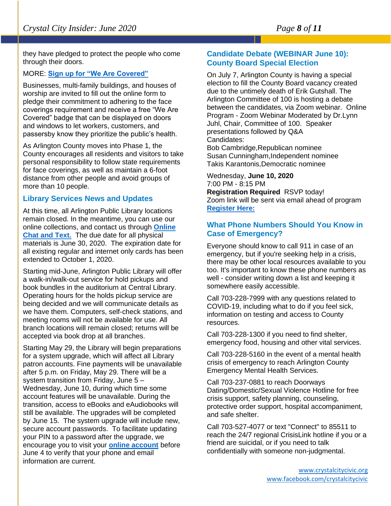they have pledged to protect the people who come through their doors.

#### MORE: **[Sign up for "We Are Covered"](https://www.arlingtonva.us/covid-19/we-are-covered-arlingtons-unified-approach-to-face-coverings/)**

Businesses, multi-family buildings, and houses of worship are invited to fill out the online form to pledge their commitment to adhering to the face coverings requirement and receive a free "We Are Covered" badge that can be displayed on doors and windows to let workers, customers, and passersby know they prioritize the public's health.

As Arlington County moves into Phase 1, the County encourages all residents and visitors to take personal responsibility to follow state requirements for face coverings, as well as maintain a 6-foot distance from other people and avoid groups of more than 10 people.

#### **Library Services News and Updates**

At this time, all Arlington Public Library locations remain closed. In the meantime, you can use our online collections, and contact us through **[Online](https://library.arlingtonva.us/chat-live/)  [Chat and Text.](https://library.arlingtonva.us/chat-live/)** The due date for all physical materials is June 30, 2020. The expiration date for all existing regular and internet only cards has been extended to October 1, 2020.

Starting mid-June, Arlington Public Library will offer a walk-in/walk-out service for hold pickups and book bundles in the auditorium at Central Library. Operating hours for the holds pickup service are being decided and we will communicate details as we have them. Computers, self-check stations, and meeting rooms will not be available for use. All branch locations will remain closed; returns will be accepted via book drop at all branches.

Starting May 29, the Library will begin preparations for a system upgrade, which will affect all Library patron accounts. Fine payments will be unavailable after 5 p.m. on Friday, May 29. There will be a system transition from Friday, June 5 – Wednesday, June 10, during which time some account features will be unavailable. During the transition, access to eBooks and eAudiobooks will still be available. The upgrades will be completed by June 15. The system upgrade will include new, secure account passwords. To facilitate updating your PIN to a password after the upgrade, we encourage you to visit your **[online account](https://libcat.arlingtonva.us/MyAccount/ContactInformation?_ga=2.74242578.1410320405.1590692757-1383804877.1558474171)** before June 4 to verify that your phone and email information are current.

#### **Candidate Debate (WEBINAR June 10): County Board Special Election**

On July 7, Arlington County is having a special election to fill the County Board vacancy created due to the untimely death of Erik Gutshall. The Arlington Committee of 100 is hosting a debate between the candidates, via Zoom webinar. Online Program - Zoom Webinar Moderated by Dr.Lynn Juhl, Chair, Committee of 100. Speaker presentations followed by Q&A Candidates:

Bob Cambridge,Republican nominee Susan Cunningham,Independent nominee Takis Karantonis,Democratic nominee

Wednesday, **June 10, 2020** 7:00 PM - 8:15 PM **Registration Required** RSVP today! Zoom link will be sent via email ahead of program **[Register Here:](https://us02web.zoom.us/webinar/register/WN_Cc2oaUrSSkK1gpQBhARwWg)**

#### **What Phone Numbers Should You Know in Case of Emergency?**

Everyone should know to call 911 in case of an emergency, but if you're seeking help in a crisis, there may be other local resources available to you too. It's important to know these phone numbers as well - consider writing down a list and keeping it somewhere easily accessible.

Call 703-228-7999 with any questions related to COVID-19, including what to do if you feel sick, information on testing and access to County resources.

Call 703-228-1300 if you need to find shelter, emergency food, housing and other vital services.

Call 703-228-5160 in the event of a mental health crisis of emergency to reach Arlington County Emergency Mental Health Services.

Call 703-237-0881 to reach Doorways Dating/Domestic/Sexual Violence Hotline for free crisis support, safety planning, counseling, protective order support, hospital accompaniment, and safe shelter.

Call 703-527-4077 or text "Connect" to 85511 to reach the 24/7 regional CrisisLink hotline if you or a friend are suicidal, or if you need to talk confidentially with someone non-judgmental.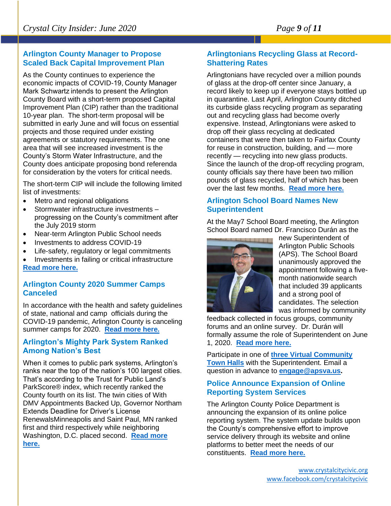#### **Arlington County Manager to Propose Scaled Back Capital Improvement Plan**

As the County continues to experience the economic impacts of COVID-19, County Manager Mark Schwartz intends to present the Arlington County Board with a short-term proposed Capital Improvement Plan (CIP) rather than the traditional 10-year plan. The short-term proposal will be submitted in early June and will focus on essential projects and those required under existing agreements or statutory requirements. The one area that will see increased investment is the County's Storm Water Infrastructure, and the County does anticipate proposing bond referenda for consideration by the voters for critical needs.

The short-term CIP will include the following limited list of investments:

- Metro and regional obligations
- Stormwater infrastructure investments progressing on the County's commitment after the July 2019 storm
- Near-term Arlington Public School needs
- Investments to address COVID-19
- Life-safety, regulatory or legal commitments
- Investments in failing or critical infrastructure **[Read more here.](https://newsroom.arlingtonva.us/release/arlington-county-manager-to-propose-scaled-back-capital-improvement-plan/)**

#### **Arlington County 2020 Summer Camps Canceled**

In accordance with the health and safety guidelines of state, national and camp officials during the COVID-19 pandemic, Arlington County is canceling summer camps for 2020. **[Read more here.](https://content.govdelivery.com/accounts/VAARLINGTON/bulletins/28c9370)**

#### **Arlington's Mighty Park System Ranked Among Nation's Best**

When it comes to public park systems, Arlington's ranks near the top of the nation's 100 largest cities. That's according to the Trust for Public Land's ParkScore® index, which recently ranked the County fourth on its list. The twin cities of With DMV Appointments Backed Up, Governor Northam Extends Deadline for Driver's License RenewalsMinneapolis and Saint Paul, MN ranked first and third respectively while neighboring Washington, D.C. placed second. **[Read more](https://newsroom.arlingtonva.us/release/arlingtons-mighty-park-system-ranked-among-nations-best/)  [here.](https://newsroom.arlingtonva.us/release/arlingtons-mighty-park-system-ranked-among-nations-best/)**

#### **Arlingtonians Recycling Glass at Record-Shattering Rates**

Arlingtonians have recycled over a million pounds of glass at the drop-off center since January, a record likely to keep up if everyone stays bottled up in quarantine. Last April, Arlington County ditched its curbside glass recycling program as separating out and recycling glass had become overly expensive. Instead, Arlingtonians were asked to drop off their glass recycling at dedicated containers that were then taken to Fairfax County for reuse in construction, building, and — more recently — recycling into new glass products. Since the launch of the drop-off recycling program, county officials say there have been two million pounds of glass recycled, half of which has been over the last few months. **[Read more here.](https://www.arlnow.com/2020/05/13/arlingtonians-recycling-glass-at-record-shattering-rates/?mc_cid=9a81f2f2b1&mc_eid=e22d65c5c2)**

#### **Arlington School Board Names New Superintendent**

At the May7 School Board meeting, the Arlington School Board named Dr. Francisco Durán as the



new Superintendent of Arlington Public Schools (APS). The School Board unanimously approved the appointment following a fivemonth nationwide search that included 39 applicants and a strong pool of candidates. The selection was informed by community

feedback collected in focus groups, community forums and an online survey. Dr. Durán will formally assume the role of Superintendent on June 1, 2020. **[Read more here.](https://www.apsva.us/post/arlington-school-board-names-new-superintendent-following-nationwide-search/)**

Participate in one of **[three Virtual Community](https://www.apsva.us/engage/engage-with-the-new-superintendent-virtual-town-hall-meetings/)  [Town Halls](https://www.apsva.us/engage/engage-with-the-new-superintendent-virtual-town-hall-meetings/)** with the Superintendent. Email a question in advance to **[engage@apsva.us.](mailto:engage@apsva.us)**

#### **Police Announce Expansion of Online Reporting System Services**

The Arlington County Police Department is announcing the expansion of its online police reporting system. The system update builds upon the County's comprehensive effort to improve service delivery through its website and online platforms to better meet the needs of our constituents. **[Read more here.](https://mail.google.com/mail/u/0/#inbox/FMfcgxwHNMbfPVhvVHPKvBXvjpSkDdfj)**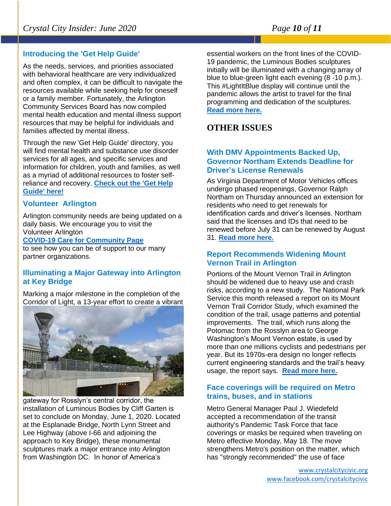#### **Introducing the 'Get Help Guide'**

As the needs, services, and priorities associated with behavioral healthcare are very individualized and often complex, it can be difficult to navigate the resources available while seeking help for oneself or a family member. Fortunately, the Arlington Community Services Board has now compiled mental health education and mental illness support resources that may be helpful for individuals and families affected by mental illness.

Through the new 'Get Help Guide' directory, you will find mental health and substance use disorder services for all ages, and specific services and information for children, youth and families, as well as a myriad of additional resources to foster selfreliance and recovery. **[Check out the 'Get Help](https://lnks.gd/l/eyJhbGciOiJIUzI1NiJ9.eyJidWxsZXRpbl9saW5rX2lkIjoxMDEsInVyaSI6ImJwMjpjbGljayIsImJ1bGxldGluX2lkIjoiMjAyMDA1MjcuMjIwODAzNDEiLCJ1cmwiOiJodHRwczovL2hlYWx0aC5hcmxpbmd0b252YS51cy9nZXQtaGVscC1ndWlkZS8ifQ.xeIUzY7RbvJ3s96dDwS85Wt_ebiEkEB1vbIZDML9Er4/br/79141536060-l)  [Guide' here!](https://lnks.gd/l/eyJhbGciOiJIUzI1NiJ9.eyJidWxsZXRpbl9saW5rX2lkIjoxMDEsInVyaSI6ImJwMjpjbGljayIsImJ1bGxldGluX2lkIjoiMjAyMDA1MjcuMjIwODAzNDEiLCJ1cmwiOiJodHRwczovL2hlYWx0aC5hcmxpbmd0b252YS51cy9nZXQtaGVscC1ndWlkZS8ifQ.xeIUzY7RbvJ3s96dDwS85Wt_ebiEkEB1vbIZDML9Er4/br/79141536060-l)**

#### **Volunteer Arlington**

Arlington community needs are being updated on a daily basis. We encourage you to visit the Volunteer Arlington

#### **[COVID-19 Care for Community Page](http://r20.rs6.net/tn.jsp?f=001FaoodfWIXBGJDglUWZf3rCSYl3olX_vG4_Bjbf_NKYK0P7uP8PkfpN_rv7vfiG6VQn5a_qmniU3DOY4MnPwMUT9_U1AOvhF5u5BxOPfqa_5gW-VKvafxUN5rjXC_QE2_XFF2rLPBIGsd33VUCk5BVtZodqElIt-Oewingsc8KI8j9q3wsKW8wYtxcrfIbtTLcP3WoSD4XuKI-Of1JeFuE9N6qZE14ivK&c=xhkUY9wVymfVIFufGeB2U0bywvZukTbMRpTUNwZ2XQ7-RbPd8WIvvg==&ch=754l5HBFuqcgdIls9orII1TIG7NMipVKbFnjt8yrjJchu2XxzVIQTQ==)**

to see how you can be of support to our many partner organizations.

#### **Illuminating a Major Gateway into Arlington at Key Bridge**

Marking a major milestone in the completion of the Corridor of Light, a 13-year effort to create a vibrant



gateway for Rosslyn's central corridor, the installation of Luminous Bodies by Cliff Garten is set to conclude on Monday, June 1, 2020. Located at the Esplanade Bridge, North Lynn Street and Lee Highway (above I-66 and adjoining the approach to Key Bridge), these monumental sculptures mark a major entrance into Arlington from Washington DC. In honor of America's

essential workers on the front lines of the COVID-19 pandemic, the Luminous Bodies sculptures initially will be illuminated with a changing array of blue to blue-green light each evening (8 -10 p.m.). This #LightItBlue display will continue until the pandemic allows the artist to travel for the final programming and dedication of the sculptures. **[Read more here.](https://newsroom.arlingtonva.us/release/luminous-bodies-rosslyn-key-bridge/)**

#### **OTHER ISSUES**

#### **With DMV Appointments Backed Up, Governor Northam Extends Deadline for Driver's License Renewals**

As Virginia Department of Motor Vehicles offices undergo phased reopenings, Governor Ralph Northam on Thursday announced an extension for residents who need to get renewals for identification cards and driver's licenses. Northam said that the licenses and IDs that need to be renewed before July 31 can be renewed by August 31. **[Read more here.](https://www.alxnow.com/2020/05/28/with-dmv-appointments-backed-up-governor-northam-extends-deadline-for-drivers-license-renewals-to-august-31/?mc_cid=d1cb9a80e7&mc_eid=e22d65c5c2)**

#### **Report Recommends Widening Mount Vernon Trail in Arlington**

Portions of the Mount Vernon Trail in Arlington should be widened due to heavy use and crash risks, according to a new study. The National Park Service this month released a report on its Mount Vernon Trail Corridor Study, which examined the condition of the trail, usage patterns and potential improvements. The trail, which runs along the Potomac from the Rosslyn area to George Washington's Mount Vernon estate, is used by more than one millions cyclists and pedestrians per year. But its 1970s-era design no longer reflects current engineering standards and the trail's heavy usage, the report says. **[Read more here.](https://www.arlnow.com/2020/05/28/report-recommends-widening-mount-vernon-trail-in-arlington/?mc_cid=df3b3adb67&mc_eid=e22d65c5c2)**

#### **Face coverings will be required on Metro trains, buses, and in stations**

Metro General Manager Paul J. Wiedefeld accepted a recommendation of the transit authority's Pandemic Task Force that face coverings or masks be required when traveling on Metro effective Monday, May 18. The move strengthens Metro's position on the matter, which has "strongly recommended" the use of face